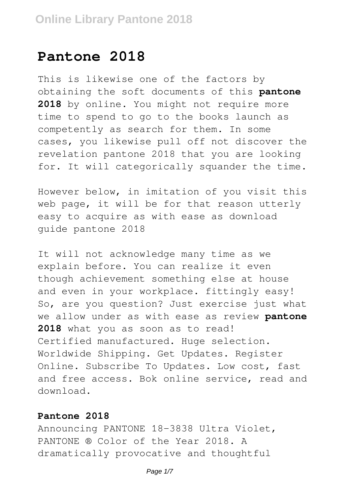# **Pantone 2018**

This is likewise one of the factors by obtaining the soft documents of this **pantone 2018** by online. You might not require more time to spend to go to the books launch as competently as search for them. In some cases, you likewise pull off not discover the revelation pantone 2018 that you are looking for. It will categorically squander the time.

However below, in imitation of you visit this web page, it will be for that reason utterly easy to acquire as with ease as download guide pantone 2018

It will not acknowledge many time as we explain before. You can realize it even though achievement something else at house and even in your workplace. fittingly easy! So, are you question? Just exercise just what we allow under as with ease as review **pantone 2018** what you as soon as to read! Certified manufactured. Huge selection. Worldwide Shipping. Get Updates. Register Online. Subscribe To Updates. Low cost, fast and free access. Bok online service, read and download.

#### **Pantone 2018**

Announcing PANTONE 18-3838 Ultra Violet, PANTONE ® Color of the Year 2018. A dramatically provocative and thoughtful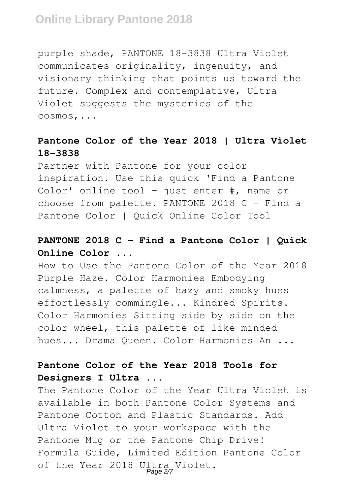# **Online Library Pantone 2018**

purple shade, PANTONE 18-3838 Ultra Violet communicates originality, ingenuity, and visionary thinking that points us toward the future. Complex and contemplative, Ultra Violet suggests the mysteries of the cosmos,...

### **Pantone Color of the Year 2018 | Ultra Violet 18-3838**

Partner with Pantone for your color inspiration. Use this quick 'Find a Pantone Color' online tool - just enter  $\#$ , name or choose from palette. PANTONE 2018  $C -$  Find a Pantone Color | Quick Online Color Tool

## **PANTONE 2018 C - Find a Pantone Color | Quick Online Color ...**

How to Use the Pantone Color of the Year 2018 Purple Haze. Color Harmonies Embodying calmness, a palette of hazy and smoky hues effortlessly commingle... Kindred Spirits. Color Harmonies Sitting side by side on the color wheel, this palette of like-minded hues... Drama Queen. Color Harmonies An ...

### **Pantone Color of the Year 2018 Tools for Designers I Ultra ...**

The Pantone Color of the Year Ultra Violet is available in both Pantone Color Systems and Pantone Cotton and Plastic Standards. Add Ultra Violet to your workspace with the Pantone Mug or the Pantone Chip Drive! Formula Guide, Limited Edition Pantone Color of the Year 2018 Ultra Violet.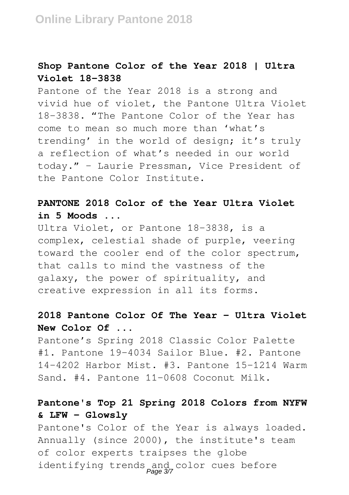### **Shop Pantone Color of the Year 2018 | Ultra Violet 18-3838**

Pantone of the Year 2018 is a strong and vivid hue of violet, the Pantone Ultra Violet 18-3838. "The Pantone Color of the Year has come to mean so much more than 'what's trending' in the world of design; it's truly a reflection of what's needed in our world today." – Laurie Pressman, Vice President of the Pantone Color Institute.

# **PANTONE 2018 Color of the Year Ultra Violet in 5 Moods ...**

Ultra Violet, or Pantone 18-3838, is a complex, celestial shade of purple, veering toward the cooler end of the color spectrum, that calls to mind the vastness of the galaxy, the power of spirituality, and creative expression in all its forms.

# **2018 Pantone Color Of The Year - Ultra Violet New Color Of ...**

Pantone's Spring 2018 Classic Color Palette #1. Pantone 19-4034 Sailor Blue. #2. Pantone 14-4202 Harbor Mist. #3. Pantone 15-1214 Warm Sand. #4. Pantone 11-0608 Coconut Milk.

# **Pantone's Top 21 Spring 2018 Colors from NYFW & LFW - Glowsly**

Pantone's Color of the Year is always loaded. Annually (since 2000), the institute's team of color experts traipses the globe identifying trends and color cues before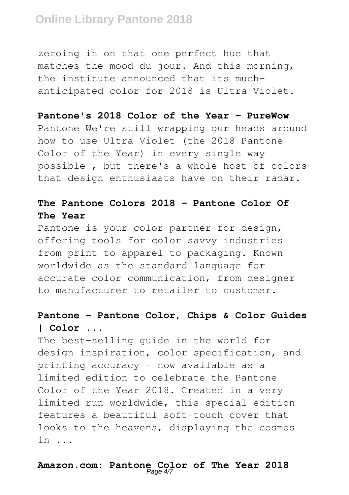# **Online Library Pantone 2018**

zeroing in on that one perfect hue that matches the mood du jour. And this morning, the institute announced that its muchanticipated color for 2018 is Ultra Violet.

#### **Pantone's 2018 Color of the Year - PureWow**

Pantone We're still wrapping our heads around how to use Ultra Violet (the 2018 Pantone Color of the Year) in every single way possible , but there's a whole host of colors that design enthusiasts have on their radar.

### **The Pantone Colors 2018 - Pantone Color Of The Year**

Pantone is your color partner for design, offering tools for color savvy industries from print to apparel to packaging. Known worldwide as the standard language for accurate color communication, from designer to manufacturer to retailer to customer.

# **Pantone - Pantone Color, Chips & Color Guides | Color ...**

The best-selling guide in the world for design inspiration, color specification, and printing accuracy – now available as a limited edition to celebrate the Pantone Color of the Year 2018. Created in a very limited run worldwide, this special edition features a beautiful soft-touch cover that looks to the heavens, displaying the cosmos in ...

# **Amazon.com: Pantone Color of The Year 2018** Page 4/7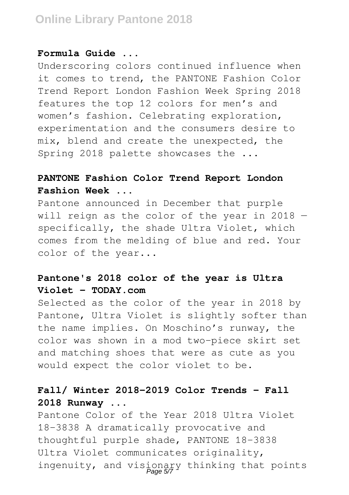#### **Formula Guide ...**

Underscoring colors continued influence when it comes to trend, the PANTONE Fashion Color Trend Report London Fashion Week Spring 2018 features the top 12 colors for men's and women's fashion. Celebrating exploration, experimentation and the consumers desire to mix, blend and create the unexpected, the Spring 2018 palette showcases the ...

# **PANTONE Fashion Color Trend Report London Fashion Week ...**

Pantone announced in December that purple will reign as the color of the year in 2018 specifically, the shade Ultra Violet, which comes from the melding of blue and red. Your color of the year...

### **Pantone's 2018 color of the year is Ultra Violet - TODAY.com**

Selected as the color of the year in 2018 by Pantone, Ultra Violet is slightly softer than the name implies. On Moschino's runway, the color was shown in a mod two-piece skirt set and matching shoes that were as cute as you would expect the color violet to be.

# **Fall/ Winter 2018-2019 Color Trends - Fall 2018 Runway ...**

Pantone Color of the Year 2018 Ultra Violet 18-3838 A dramatically provocative and thoughtful purple shade, PANTONE 18-3838 Ultra Violet communicates originality, ingenuity, and visionary thinking that points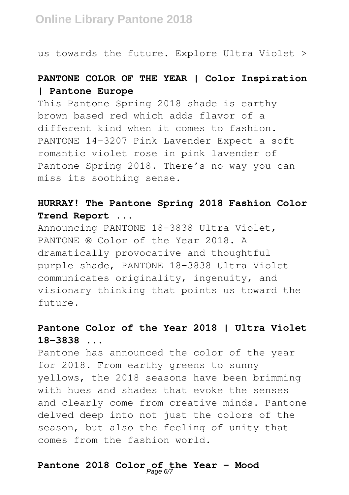us towards the future. Explore Ultra Violet >

# **PANTONE COLOR OF THE YEAR | Color Inspiration | Pantone Europe**

This Pantone Spring 2018 shade is earthy brown based red which adds flavor of a different kind when it comes to fashion. PANTONE 14-3207 Pink Lavender Expect a soft romantic violet rose in pink lavender of Pantone Spring 2018. There's no way you can miss its soothing sense.

# **HURRAY! The Pantone Spring 2018 Fashion Color Trend Report ...**

Announcing PANTONE 18-3838 Ultra Violet, PANTONE ® Color of the Year 2018. A dramatically provocative and thoughtful purple shade, PANTONE 18-3838 Ultra Violet communicates originality, ingenuity, and visionary thinking that points us toward the future.

# **Pantone Color of the Year 2018 | Ultra Violet 18-3838 ...**

Pantone has announced the color of the year for 2018. From earthy greens to sunny yellows, the 2018 seasons have been brimming with hues and shades that evoke the senses and clearly come from creative minds. Pantone delved deep into not just the colors of the season, but also the feeling of unity that comes from the fashion world.

# **Pantone 2018 Color of the Year - Mood** Page 6/7